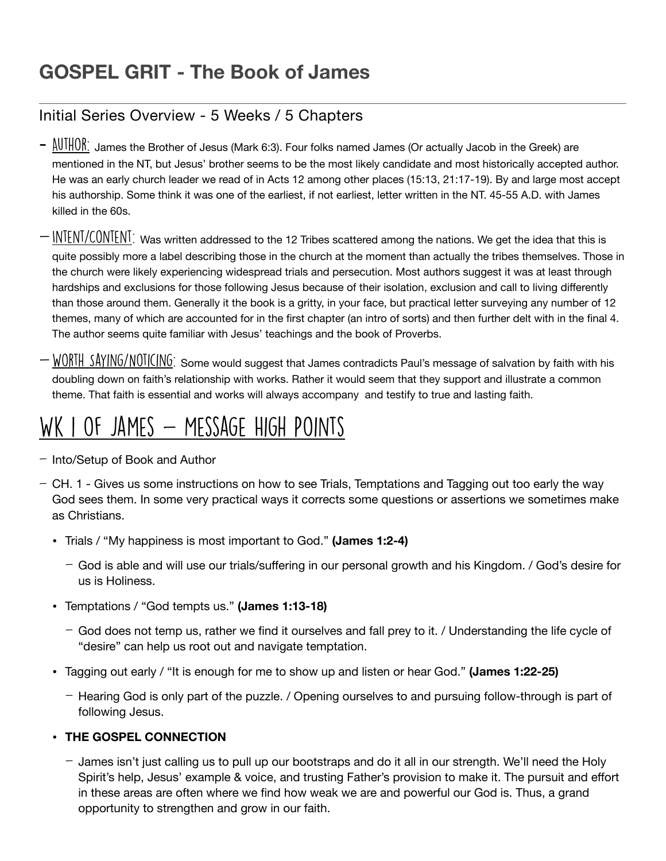### **GOSPEL GRIT - The Book of James**

### Initial Series Overview - 5 Weeks / 5 Chapters

- $-\frac{AUTHOR}{A}$  James the Brother of Jesus (Mark 6:3). Four folks named James (Or actually Jacob in the Greek) are mentioned in the NT, but Jesus' brother seems to be the most likely candidate and most historically accepted author. He was an early church leader we read of in Acts 12 among other places (15:13, 21:17-19). By and large most accept his authorship. Some think it was one of the earliest, if not earliest, letter written in the NT. 45-55 A.D. with James killed in the 60s.
- $\text{IN}\overline{\text{IENI}/\text{CON}}$  Was written addressed to the 12 Tribes scattered among the nations. We get the idea that this is quite possibly more a label describing those in the church at the moment than actually the tribes themselves. Those in the church were likely experiencing widespread trials and persecution. Most authors suggest it was at least through hardships and exclusions for those following Jesus because of their isolation, exclusion and call to living differently than those around them. Generally it the book is a gritty, in your face, but practical letter surveying any number of 12 themes, many of which are accounted for in the first chapter (an intro of sorts) and then further delt with in the final 4. The author seems quite familiar with Jesus' teachings and the book of Proverbs.
- $-W0RTH$  SAYING/NOTICING: Some would suggest that James contradicts Paul's message of salvation by faith with his doubling down on faith's relationship with works. Rather it would seem that they support and illustrate a common theme. That faith is essential and works will always accompany and testify to true and lasting faith.

## WK I OF JAMES - MESSAGE HIGH POINTS

- Into/Setup of Book and Author
- CH. 1 Gives us some instructions on how to see Trials, Temptations and Tagging out too early the way God sees them. In some very practical ways it corrects some questions or assertions we sometimes make as Christians.
	- Trials / "My happiness is most important to God." **(James 1:2-4)**
		- God is able and will use our trials/suffering in our personal growth and his Kingdom. / God's desire for us is Holiness.
	- Temptations / "God tempts us." **(James 1:13-18)**
		- God does not temp us, rather we find it ourselves and fall prey to it. / Understanding the life cycle of "desire" can help us root out and navigate temptation.
	- Tagging out early / "It is enough for me to show up and listen or hear God." **(James 1:22-25)**
		- Hearing God is only part of the puzzle. / Opening ourselves to and pursuing follow-through is part of following Jesus.

### • **THE GOSPEL CONNECTION**

- James isn't just calling us to pull up our bootstraps and do it all in our strength. We'll need the Holy Spirit's help, Jesus' example & voice, and trusting Father's provision to make it. The pursuit and effort in these areas are often where we find how weak we are and powerful our God is. Thus, a grand opportunity to strengthen and grow in our faith.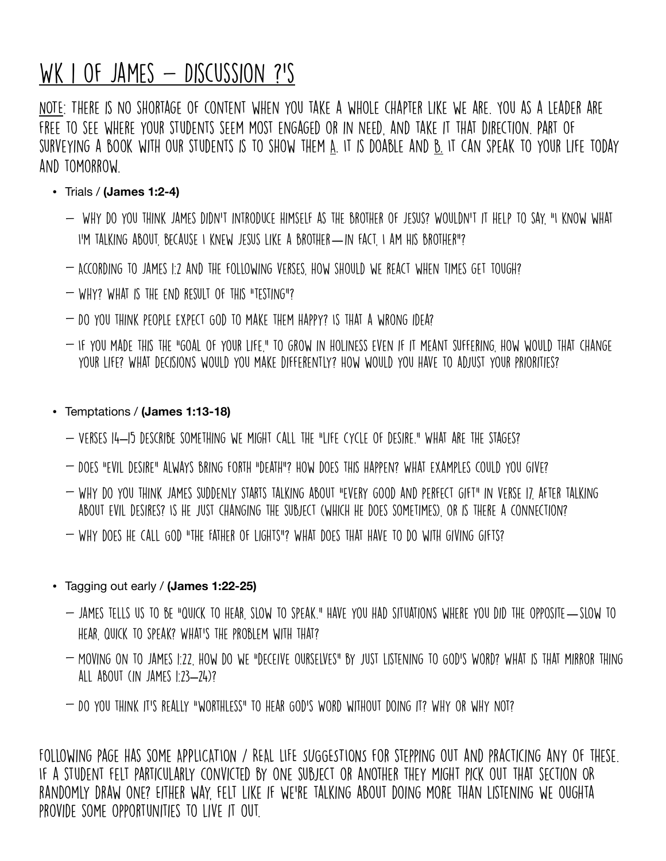# WK I OF JAMES  $-$  DISCUSSION ?'S

NOTE: There is no shortage of content when you take a whole chapter like we are. You as a leader are free to see where your students seem most engaged or in need, and take it that direction. Part of surveying a book with our students is to show them A. It is doable and B. It can speak to your life today and tomorrow.

- Trials / **(James 1:2-4)**
	- Why do you think James didn't introduce himself as the brother of Jesus? Wouldn't it help to say, "I know what I'm talking about, because I knew Jesus like a brother—in fact, I am His brother"?
	- According to James 1:2 and the following verses, how should we react when times get tough?
	- WHY? WHAT IS THE END RESULT OF THIS "TESTING"?
	- Do you think people expect God to make them happy? Is that a wrong idea?
	- $-$  If you made this the "goal of your life," to grow in holiness even if it meant suffering. How would that change your life? What decisions would you make differently? How would you have to adjust your priorities?
- Temptations / **(James 1:13-18)**
	- Verses 14–15 describe something we might call the "life cycle of desire." What are the stages?
	- Does "evil desire" always bring forth "death"? How does this happen? What examples could you give?
	- Why do you think James suddenly starts talking about "every good and perfect gift" in verse 17, after talking about evil desires? Is he just changing the subject (which he does sometimes), or is there a connection?
	- Why does he call God "the Father of lights"? What does that have to do with giving gifts?
- Tagging out early / **(James 1:22-25)**
	- James tells us to be "quick to hear, slow to speak." Have you had situations where you did the opposite—slow to hear, quick to speak? What's the problem with that?
	- Moving on to James 1:22, how do we "deceive ourselves" by just listening to God's Word? What is that mirror thing all about (in James 1:23–24)?
	- Do you think it's really "worthless" to hear God's Word without doing it? Why or why not?

Following page has some APPLICATION / REAL LIFE SUGGESTIONS for stepping out and practicing any of these. If a student felt particularly convicted by one subject or another they might pick out that section OR randomly draw one? Either way, felt like if we're talking about doing more than listening we oughta provide some opportunities to live it out.